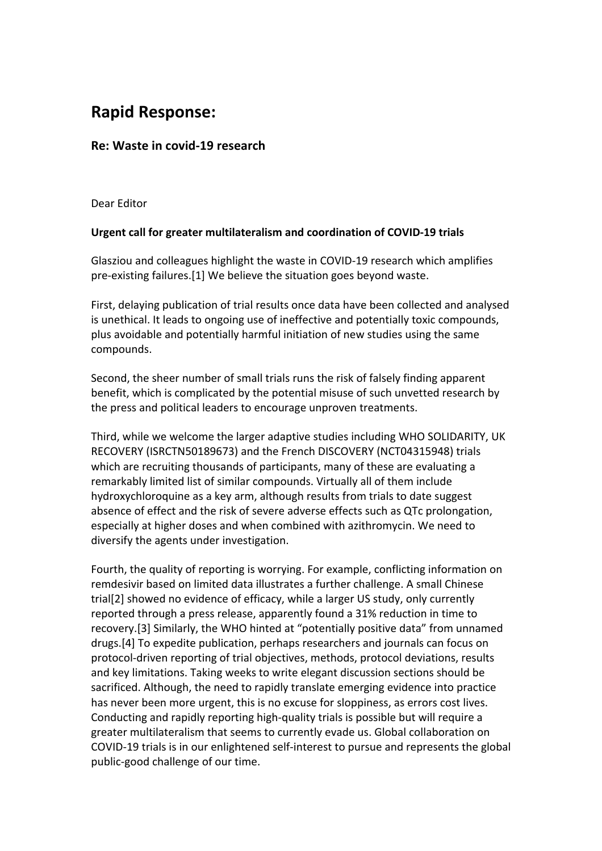## **Rapid Response:**

## **Re: Waste in covid-19 research**

Dear Editor

## **Urgent call for greater multilateralism and coordination of COVID-19 trials**

Glasziou and colleagues highlight the waste in COVID-19 research which amplifies pre-existing failures.[1] We believe the situation goes beyond waste.

First, delaying publication of trial results once data have been collected and analysed is unethical. It leads to ongoing use of ineffective and potentially toxic compounds, plus avoidable and potentially harmful initiation of new studies using the same compounds.

Second, the sheer number of small trials runs the risk of falsely finding apparent benefit, which is complicated by the potential misuse of such unvetted research by the press and political leaders to encourage unproven treatments.

Third, while we welcome the larger adaptive studies including WHO SOLIDARITY, UK RECOVERY (ISRCTN50189673) and the French DISCOVERY (NCT04315948) trials which are recruiting thousands of participants, many of these are evaluating a remarkably limited list of similar compounds. Virtually all of them include hydroxychloroquine as a key arm, although results from trials to date suggest absence of effect and the risk of severe adverse effects such as QTc prolongation, especially at higher doses and when combined with azithromycin. We need to diversify the agents under investigation.

Fourth, the quality of reporting is worrying. For example, conflicting information on remdesivir based on limited data illustrates a further challenge. A small Chinese trial[2] showed no evidence of efficacy, while a larger US study, only currently reported through a press release, apparently found a 31% reduction in time to recovery.[3] Similarly, the WHO hinted at "potentially positive data" from unnamed drugs.[4] To expedite publication, perhaps researchers and journals can focus on protocol-driven reporting of trial objectives, methods, protocol deviations, results and key limitations. Taking weeks to write elegant discussion sections should be sacrificed. Although, the need to rapidly translate emerging evidence into practice has never been more urgent, this is no excuse for sloppiness, as errors cost lives. Conducting and rapidly reporting high-quality trials is possible but will require a greater multilateralism that seems to currently evade us. Global collaboration on COVID-19 trials is in our enlightened self-interest to pursue and represents the global public-good challenge of our time.